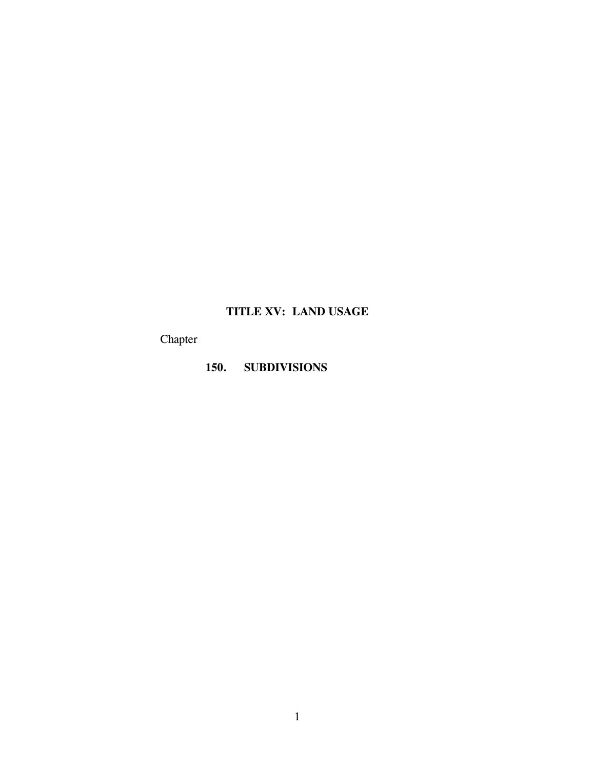# **TITLE XV: LAND USAGE**

Chapter

**150. SUBDIVISIONS**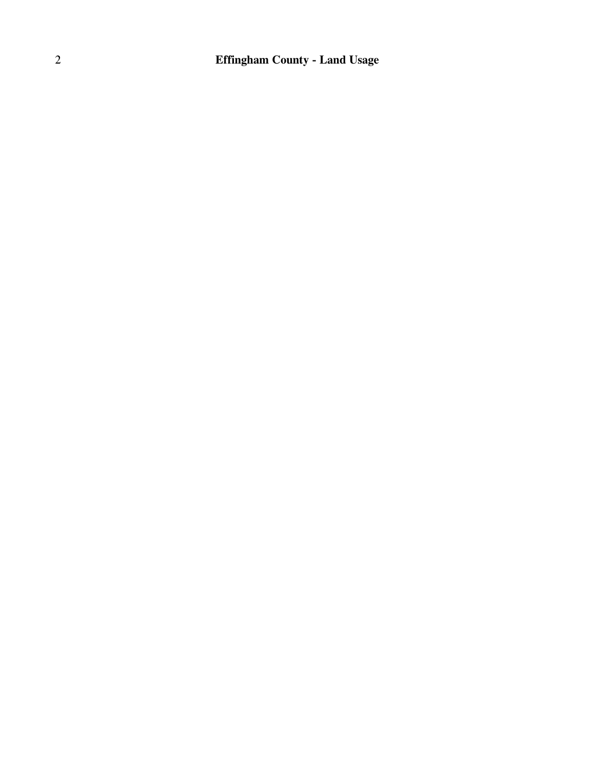**Effingham County - Land Usage**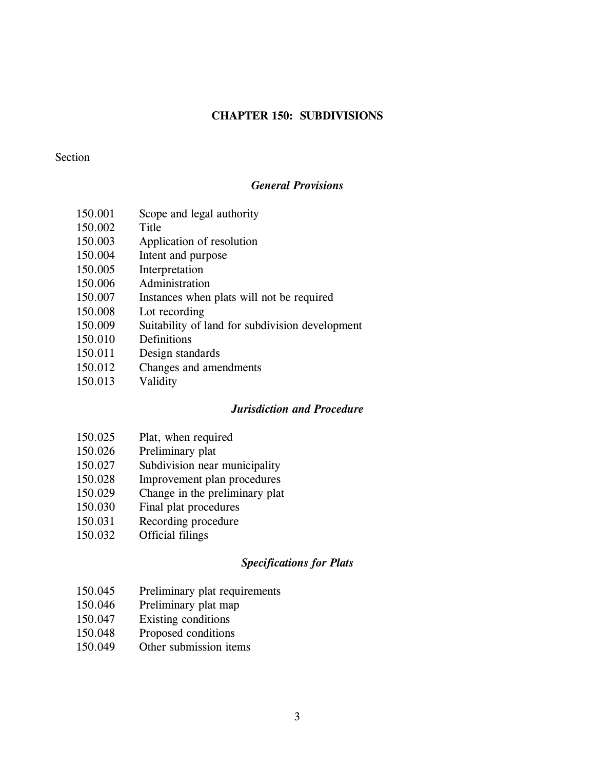## **CHAPTER 150: SUBDIVISIONS**

### Section

### *General Provisions*

- 150.001 Scope and legal authority
- 150.002 Title
- 150.003 Application of resolution
- 150.004 Intent and purpose
- 150.005 Interpretation
- 150.006 Administration
- 150.007 Instances when plats will not be required
- 150.008 Lot recording
- 150.009 Suitability of land for subdivision development
- 150.010 Definitions
- 150.011 Design standards
- 150.012 Changes and amendments
- 150.013 Validity

### *Jurisdiction and Procedure*

- 150.025 Plat, when required
- 150.026 Preliminary plat
- 150.027 Subdivision near municipality
- 150.028 Improvement plan procedures
- 150.029 Change in the preliminary plat
- 150.030 Final plat procedures
- 150.031 Recording procedure
- 150.032 Official filings

### *Specifications for Plats*

- 150.045 Preliminary plat requirements
- 150.046 Preliminary plat map
- 150.047 Existing conditions
- 150.048 Proposed conditions
- 150.049 Other submission items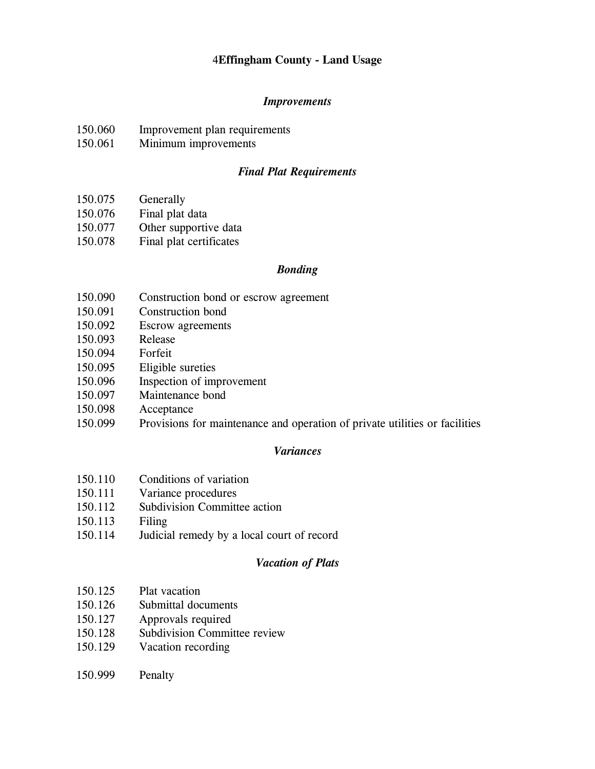## 4**Effingham County - Land Usage**

### *Improvements*

- 150.060 Improvement plan requirements
- 150.061 Minimum improvements

### *Final Plat Requirements*

- 150.075 Generally
- 150.076 Final plat data
- 150.077 Other supportive data
- 150.078 Final plat certificates

#### *Bonding*

- 150.090 Construction bond or escrow agreement
- 150.091 Construction bond
- 150.092 Escrow agreements
- 150.093 Release
- 150.094 Forfeit
- 150.095 Eligible sureties
- 150.096 Inspection of improvement
- 150.097 Maintenance bond
- 150.098 Acceptance
- 150.099 Provisions for maintenance and operation of private utilities or facilities

## *Variances*

- 150.110 Conditions of variation
- 150.111 Variance procedures
- 150.112 Subdivision Committee action
- 150.113 Filing
- 150.114 Judicial remedy by a local court of record

### *Vacation of Plats*

- 150.125 Plat vacation
- 150.126 Submittal documents
- 150.127 Approvals required
- 150.128 Subdivision Committee review
- 150.129 Vacation recording

### 150.999 Penalty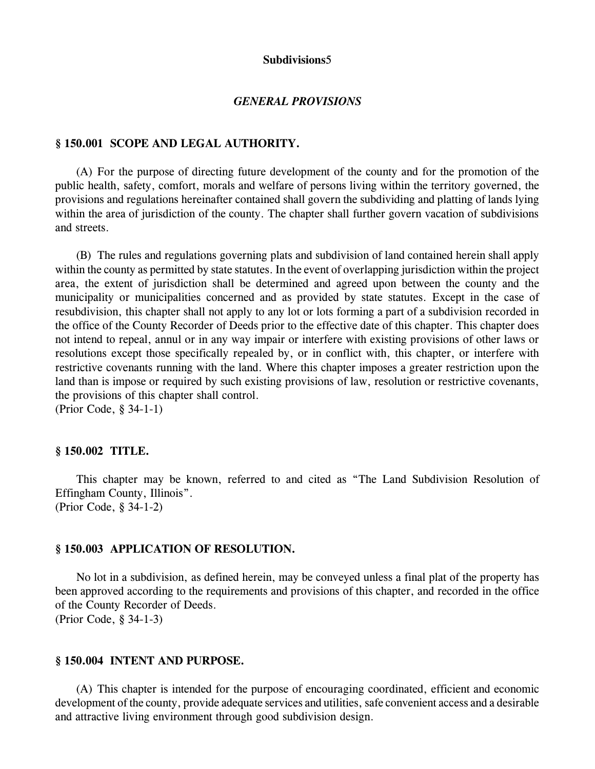#### *GENERAL PROVISIONS*

### **§ 150.001 SCOPE AND LEGAL AUTHORITY.**

(A) For the purpose of directing future development of the county and for the promotion of the public health, safety, comfort, morals and welfare of persons living within the territory governed, the provisions and regulations hereinafter contained shall govern the subdividing and platting of lands lying within the area of jurisdiction of the county. The chapter shall further govern vacation of subdivisions and streets.

(B) The rules and regulations governing plats and subdivision of land contained herein shall apply within the county as permitted by state statutes. In the event of overlapping jurisdiction within the project area, the extent of jurisdiction shall be determined and agreed upon between the county and the municipality or municipalities concerned and as provided by state statutes. Except in the case of resubdivision, this chapter shall not apply to any lot or lots forming a part of a subdivision recorded in the office of the County Recorder of Deeds prior to the effective date of this chapter. This chapter does not intend to repeal, annul or in any way impair or interfere with existing provisions of other laws or resolutions except those specifically repealed by, or in conflict with, this chapter, or interfere with restrictive covenants running with the land. Where this chapter imposes a greater restriction upon the land than is impose or required by such existing provisions of law, resolution or restrictive covenants, the provisions of this chapter shall control.

(Prior Code, § 34-1-1)

### **§ 150.002 TITLE.**

This chapter may be known, referred to and cited as "The Land Subdivision Resolution of Effingham County, Illinois". (Prior Code, § 34-1-2)

#### **§ 150.003 APPLICATION OF RESOLUTION.**

No lot in a subdivision, as defined herein, may be conveyed unless a final plat of the property has been approved according to the requirements and provisions of this chapter, and recorded in the office of the County Recorder of Deeds. (Prior Code, § 34-1-3)

### **§ 150.004 INTENT AND PURPOSE.**

(A) This chapter is intended for the purpose of encouraging coordinated, efficient and economic development of the county, provide adequate services and utilities, safe convenient access and a desirable and attractive living environment through good subdivision design.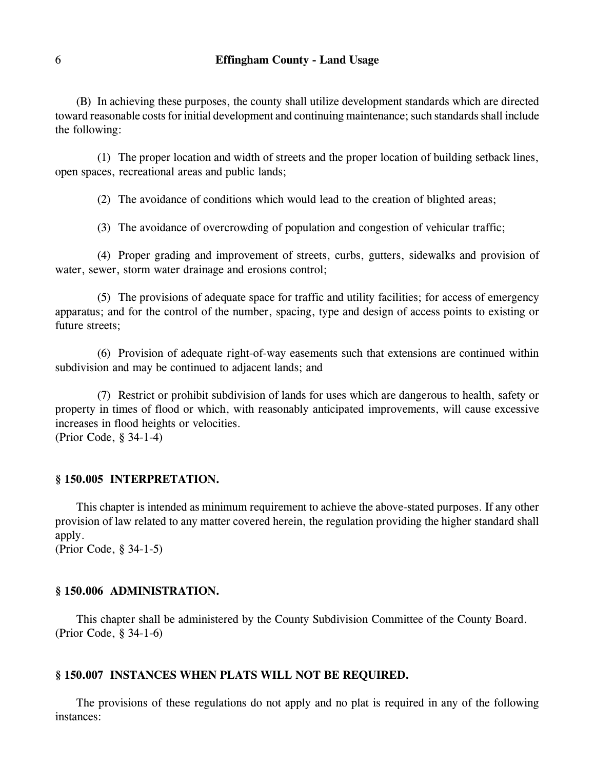(B) In achieving these purposes, the county shall utilize development standards which are directed toward reasonable costs for initial development and continuing maintenance; such standards shall include the following:

(1) The proper location and width of streets and the proper location of building setback lines, open spaces, recreational areas and public lands;

(2) The avoidance of conditions which would lead to the creation of blighted areas;

(3) The avoidance of overcrowding of population and congestion of vehicular traffic;

(4) Proper grading and improvement of streets, curbs, gutters, sidewalks and provision of water, sewer, storm water drainage and erosions control;

(5) The provisions of adequate space for traffic and utility facilities; for access of emergency apparatus; and for the control of the number, spacing, type and design of access points to existing or future streets;

(6) Provision of adequate right-of-way easements such that extensions are continued within subdivision and may be continued to adjacent lands; and

(7) Restrict or prohibit subdivision of lands for uses which are dangerous to health, safety or property in times of flood or which, with reasonably anticipated improvements, will cause excessive increases in flood heights or velocities.

(Prior Code, § 34-1-4)

#### **§ 150.005 INTERPRETATION.**

This chapter is intended as minimum requirement to achieve the above-stated purposes. If any other provision of law related to any matter covered herein, the regulation providing the higher standard shall apply.

(Prior Code, § 34-1-5)

### **§ 150.006 ADMINISTRATION.**

This chapter shall be administered by the County Subdivision Committee of the County Board. (Prior Code, § 34-1-6)

### **§ 150.007 INSTANCES WHEN PLATS WILL NOT BE REQUIRED.**

The provisions of these regulations do not apply and no plat is required in any of the following instances: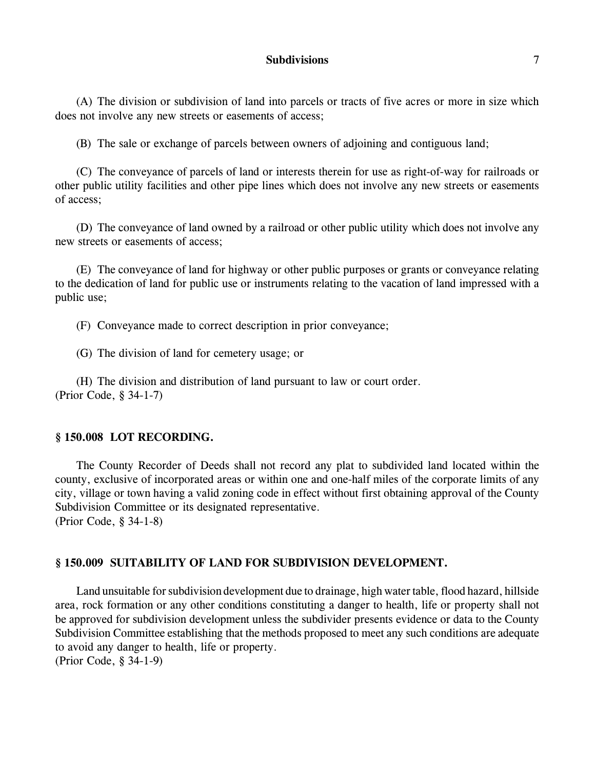(A) The division or subdivision of land into parcels or tracts of five acres or more in size which does not involve any new streets or easements of access;

(B) The sale or exchange of parcels between owners of adjoining and contiguous land;

(C) The conveyance of parcels of land or interests therein for use as right-of-way for railroads or other public utility facilities and other pipe lines which does not involve any new streets or easements of access;

(D) The conveyance of land owned by a railroad or other public utility which does not involve any new streets or easements of access;

(E) The conveyance of land for highway or other public purposes or grants or conveyance relating to the dedication of land for public use or instruments relating to the vacation of land impressed with a public use;

(F) Conveyance made to correct description in prior conveyance;

(G) The division of land for cemetery usage; or

(H) The division and distribution of land pursuant to law or court order. (Prior Code, § 34-1-7)

## **§ 150.008 LOT RECORDING.**

The County Recorder of Deeds shall not record any plat to subdivided land located within the county, exclusive of incorporated areas or within one and one-half miles of the corporate limits of any city, village or town having a valid zoning code in effect without first obtaining approval of the County Subdivision Committee or its designated representative.

(Prior Code, § 34-1-8)

# **§ 150.009 SUITABILITY OF LAND FOR SUBDIVISION DEVELOPMENT.**

Land unsuitable for subdivision development due to drainage, high water table, flood hazard, hillside area, rock formation or any other conditions constituting a danger to health, life or property shall not be approved for subdivision development unless the subdivider presents evidence or data to the County Subdivision Committee establishing that the methods proposed to meet any such conditions are adequate to avoid any danger to health, life or property.

(Prior Code, § 34-1-9)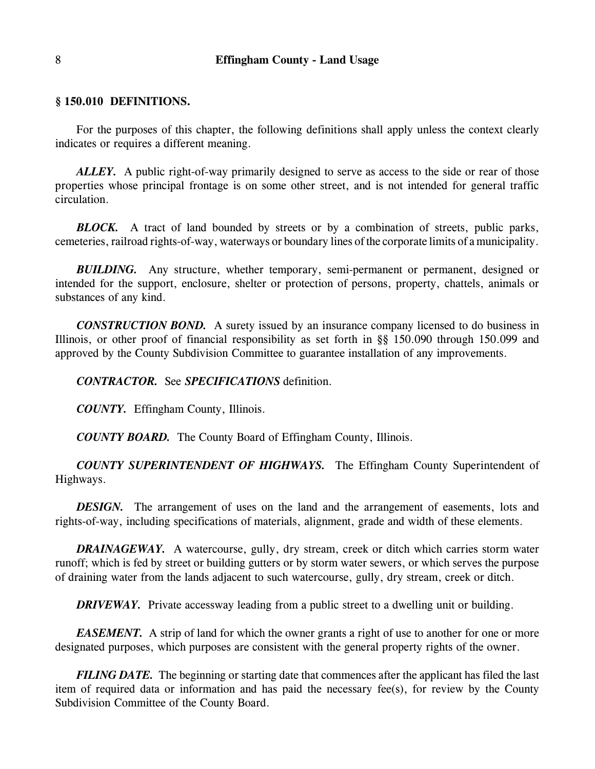### **§ 150.010 DEFINITIONS.**

For the purposes of this chapter, the following definitions shall apply unless the context clearly indicates or requires a different meaning.

*ALLEY.* A public right-of-way primarily designed to serve as access to the side or rear of those properties whose principal frontage is on some other street, and is not intended for general traffic circulation.

*BLOCK.* A tract of land bounded by streets or by a combination of streets, public parks, cemeteries, railroad rights-of-way, waterways or boundary lines of the corporate limits of a municipality.

*BUILDING.* Any structure, whether temporary, semi-permanent or permanent, designed or intended for the support, enclosure, shelter or protection of persons, property, chattels, animals or substances of any kind.

*CONSTRUCTION BOND.* A surety issued by an insurance company licensed to do business in Illinois, or other proof of financial responsibility as set forth in §§ 150.090 through 150.099 and approved by the County Subdivision Committee to guarantee installation of any improvements.

*CONTRACTOR.* See *SPECIFICATIONS* definition.

*COUNTY.* Effingham County, Illinois.

*COUNTY BOARD.* The County Board of Effingham County, Illinois.

*COUNTY SUPERINTENDENT OF HIGHWAYS.* The Effingham County Superintendent of Highways.

*DESIGN*. The arrangement of uses on the land and the arrangement of easements, lots and rights-of-way, including specifications of materials, alignment, grade and width of these elements.

*DRAINAGEWAY.* A watercourse, gully, dry stream, creek or ditch which carries storm water runoff; which is fed by street or building gutters or by storm water sewers, or which serves the purpose of draining water from the lands adjacent to such watercourse, gully, dry stream, creek or ditch.

*DRIVEWAY.* Private accessway leading from a public street to a dwelling unit or building.

*EASEMENT.* A strip of land for which the owner grants a right of use to another for one or more designated purposes, which purposes are consistent with the general property rights of the owner.

*FILING DATE.* The beginning or starting date that commences after the applicant has filed the last item of required data or information and has paid the necessary fee(s), for review by the County Subdivision Committee of the County Board.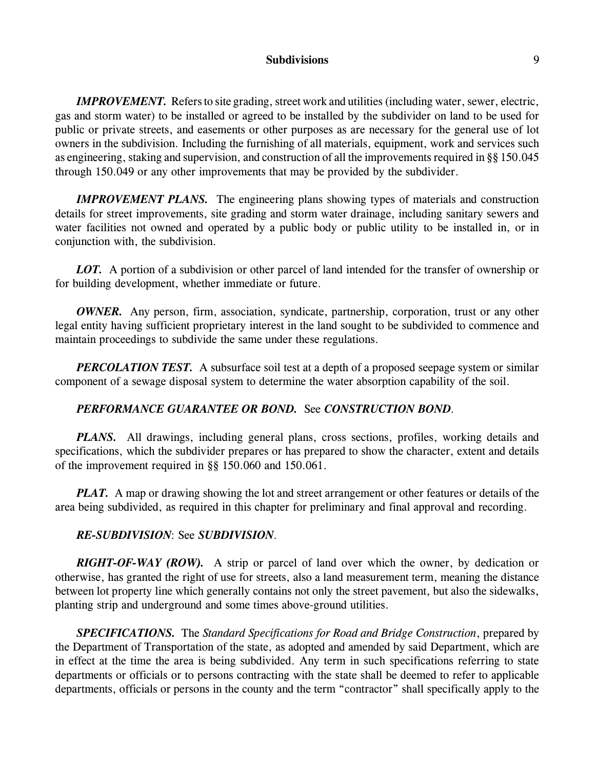*IMPROVEMENT.* Refers to site grading, street work and utilities (including water, sewer, electric, gas and storm water) to be installed or agreed to be installed by the subdivider on land to be used for public or private streets, and easements or other purposes as are necessary for the general use of lot owners in the subdivision. Including the furnishing of all materials, equipment, work and services such as engineering, staking and supervision, and construction of all the improvements required in §§ 150.045 through 150.049 or any other improvements that may be provided by the subdivider.

*IMPROVEMENT PLANS.* The engineering plans showing types of materials and construction details for street improvements, site grading and storm water drainage, including sanitary sewers and water facilities not owned and operated by a public body or public utility to be installed in, or in conjunction with, the subdivision.

*LOT.* A portion of a subdivision or other parcel of land intended for the transfer of ownership or for building development, whether immediate or future.

*OWNER.* Any person, firm, association, syndicate, partnership, corporation, trust or any other legal entity having sufficient proprietary interest in the land sought to be subdivided to commence and maintain proceedings to subdivide the same under these regulations.

*PERCOLATION TEST.* A subsurface soil test at a depth of a proposed seepage system or similar component of a sewage disposal system to determine the water absorption capability of the soil.

## *PERFORMANCE GUARANTEE OR BOND.* See *CONSTRUCTION BOND*.

*PLANS.* All drawings, including general plans, cross sections, profiles, working details and specifications, which the subdivider prepares or has prepared to show the character, extent and details of the improvement required in §§ 150.060 and 150.061.

*PLAT.* A map or drawing showing the lot and street arrangement or other features or details of the area being subdivided, as required in this chapter for preliminary and final approval and recording.

## *RE-SUBDIVISION*: See *SUBDIVISION*.

*RIGHT-OF-WAY (ROW).* A strip or parcel of land over which the owner, by dedication or otherwise, has granted the right of use for streets, also a land measurement term, meaning the distance between lot property line which generally contains not only the street pavement, but also the sidewalks, planting strip and underground and some times above-ground utilities.

*SPECIFICATIONS.* The *Standard Specifications for Road and Bridge Construction*, prepared by the Department of Transportation of the state, as adopted and amended by said Department, which are in effect at the time the area is being subdivided. Any term in such specifications referring to state departments or officials or to persons contracting with the state shall be deemed to refer to applicable departments, officials or persons in the county and the term "contractor" shall specifically apply to the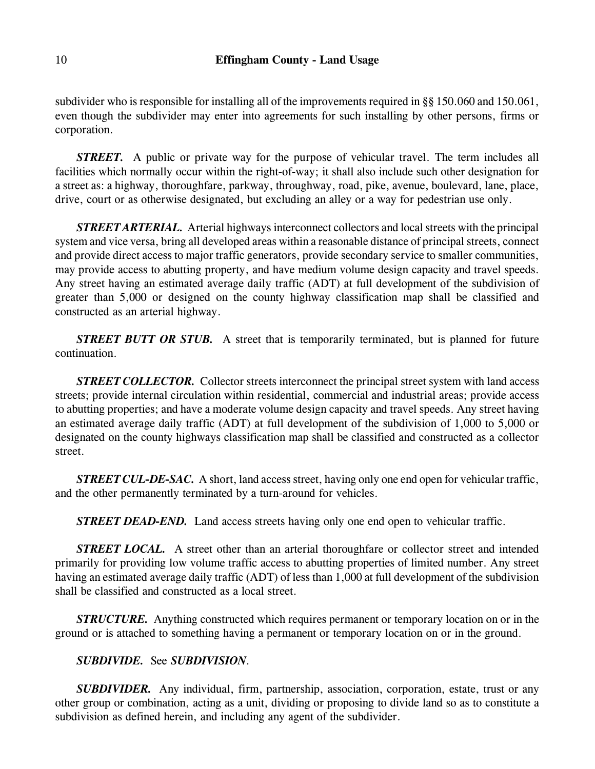subdivider who is responsible for installing all of the improvements required in §§ 150.060 and 150.061, even though the subdivider may enter into agreements for such installing by other persons, firms or corporation.

*STREET.* A public or private way for the purpose of vehicular travel. The term includes all facilities which normally occur within the right-of-way; it shall also include such other designation for a street as: a highway, thoroughfare, parkway, throughway, road, pike, avenue, boulevard, lane, place, drive, court or as otherwise designated, but excluding an alley or a way for pedestrian use only.

*STREET ARTERIAL.* Arterial highways interconnect collectors and local streets with the principal system and vice versa, bring all developed areas within a reasonable distance of principal streets, connect and provide direct access to major traffic generators, provide secondary service to smaller communities, may provide access to abutting property, and have medium volume design capacity and travel speeds. Any street having an estimated average daily traffic (ADT) at full development of the subdivision of greater than 5,000 or designed on the county highway classification map shall be classified and constructed as an arterial highway.

*STREET BUTT OR STUB.* A street that is temporarily terminated, but is planned for future continuation.

*STREET COLLECTOR.* Collector streets interconnect the principal street system with land access streets; provide internal circulation within residential, commercial and industrial areas; provide access to abutting properties; and have a moderate volume design capacity and travel speeds. Any street having an estimated average daily traffic (ADT) at full development of the subdivision of 1,000 to 5,000 or designated on the county highways classification map shall be classified and constructed as a collector street.

*STREET CUL-DE-SAC.* A short, land access street, having only one end open for vehicular traffic, and the other permanently terminated by a turn-around for vehicles.

*STREET DEAD-END.* Land access streets having only one end open to vehicular traffic.

*STREET LOCAL.* A street other than an arterial thoroughfare or collector street and intended primarily for providing low volume traffic access to abutting properties of limited number. Any street having an estimated average daily traffic (ADT) of less than 1,000 at full development of the subdivision shall be classified and constructed as a local street.

*STRUCTURE.* Anything constructed which requires permanent or temporary location on or in the ground or is attached to something having a permanent or temporary location on or in the ground.

## *SUBDIVIDE.* See *SUBDIVISION*.

*SUBDIVIDER.* Any individual, firm, partnership, association, corporation, estate, trust or any other group or combination, acting as a unit, dividing or proposing to divide land so as to constitute a subdivision as defined herein, and including any agent of the subdivider.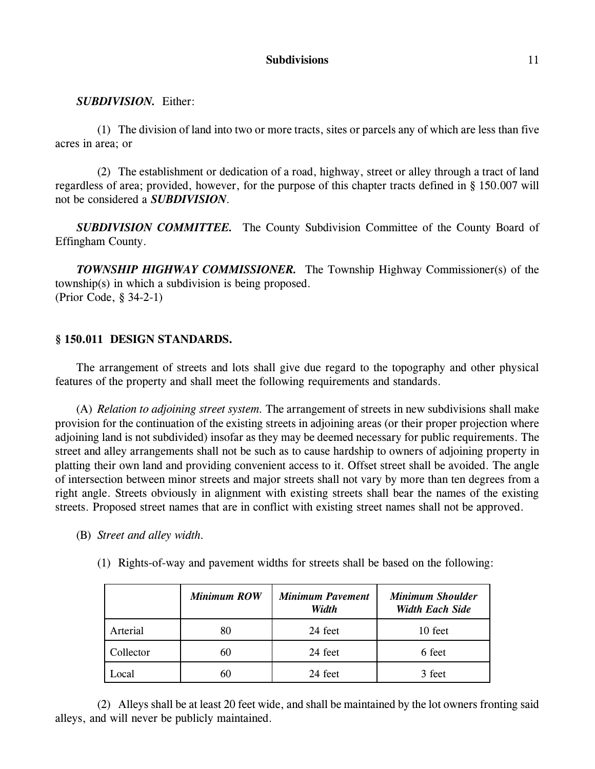# *SUBDIVISION.* Either:

(1) The division of land into two or more tracts, sites or parcels any of which are less than five acres in area; or

(2) The establishment or dedication of a road, highway, street or alley through a tract of land regardless of area; provided, however, for the purpose of this chapter tracts defined in § 150.007 will not be considered a *SUBDIVISION*.

*SUBDIVISION COMMITTEE.* The County Subdivision Committee of the County Board of Effingham County.

*TOWNSHIP HIGHWAY COMMISSIONER.* The Township Highway Commissioner(s) of the township(s) in which a subdivision is being proposed. (Prior Code, § 34-2-1)

## **§ 150.011 DESIGN STANDARDS.**

The arrangement of streets and lots shall give due regard to the topography and other physical features of the property and shall meet the following requirements and standards.

(A) *Relation to adjoining street system.* The arrangement of streets in new subdivisions shall make provision for the continuation of the existing streets in adjoining areas (or their proper projection where adjoining land is not subdivided) insofar as they may be deemed necessary for public requirements. The street and alley arrangements shall not be such as to cause hardship to owners of adjoining property in platting their own land and providing convenient access to it. Offset street shall be avoided. The angle of intersection between minor streets and major streets shall not vary by more than ten degrees from a right angle. Streets obviously in alignment with existing streets shall bear the names of the existing streets. Proposed street names that are in conflict with existing street names shall not be approved.

(B) *Street and alley width.*

(1) Rights-of-way and pavement widths for streets shall be based on the following:

|           | Minimum ROW | <b>Minimum Pavement</b><br>Width | <b>Minimum Shoulder</b><br><b>Width Each Side</b> |
|-----------|-------------|----------------------------------|---------------------------------------------------|
| Arterial  | 80          | 24 feet                          | 10 feet                                           |
| Collector | 60          | 24 feet                          | 6 feet                                            |
| Local     | 60          | 24 feet                          | 3 feet                                            |

(2) Alleys shall be at least 20 feet wide, and shall be maintained by the lot owners fronting said alleys, and will never be publicly maintained.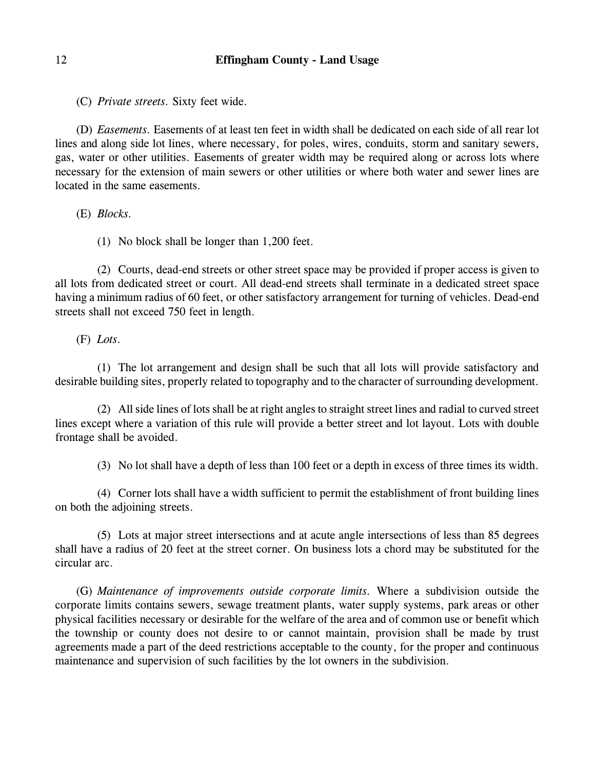(C) *Private streets.* Sixty feet wide.

(D) *Easements.* Easements of at least ten feet in width shall be dedicated on each side of all rear lot lines and along side lot lines, where necessary, for poles, wires, conduits, storm and sanitary sewers, gas, water or other utilities. Easements of greater width may be required along or across lots where necessary for the extension of main sewers or other utilities or where both water and sewer lines are located in the same easements.

(E) *Blocks.*

(1) No block shall be longer than 1,200 feet.

(2) Courts, dead-end streets or other street space may be provided if proper access is given to all lots from dedicated street or court. All dead-end streets shall terminate in a dedicated street space having a minimum radius of 60 feet, or other satisfactory arrangement for turning of vehicles. Dead-end streets shall not exceed 750 feet in length.

(F) *Lots.*

(1) The lot arrangement and design shall be such that all lots will provide satisfactory and desirable building sites, properly related to topography and to the character of surrounding development.

(2) All side lines of lots shall be at right angles to straight street lines and radial to curved street lines except where a variation of this rule will provide a better street and lot layout. Lots with double frontage shall be avoided.

(3) No lot shall have a depth of less than 100 feet or a depth in excess of three times its width.

(4) Corner lots shall have a width sufficient to permit the establishment of front building lines on both the adjoining streets.

(5) Lots at major street intersections and at acute angle intersections of less than 85 degrees shall have a radius of 20 feet at the street corner. On business lots a chord may be substituted for the circular arc.

(G) *Maintenance of improvements outside corporate limits.* Where a subdivision outside the corporate limits contains sewers, sewage treatment plants, water supply systems, park areas or other physical facilities necessary or desirable for the welfare of the area and of common use or benefit which the township or county does not desire to or cannot maintain, provision shall be made by trust agreements made a part of the deed restrictions acceptable to the county, for the proper and continuous maintenance and supervision of such facilities by the lot owners in the subdivision.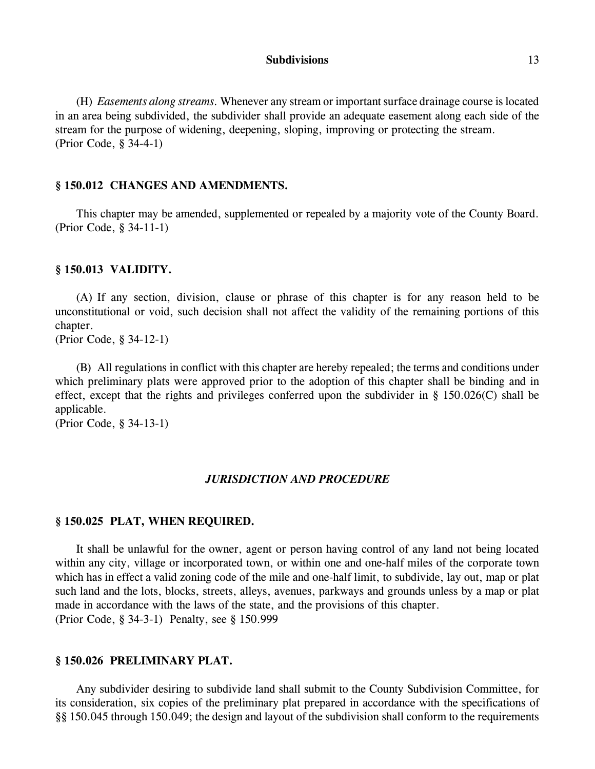(H) *Easements along streams.* Whenever any stream or important surface drainage course is located in an area being subdivided, the subdivider shall provide an adequate easement along each side of the stream for the purpose of widening, deepening, sloping, improving or protecting the stream. (Prior Code, § 34-4-1)

#### **§ 150.012 CHANGES AND AMENDMENTS.**

This chapter may be amended, supplemented or repealed by a majority vote of the County Board. (Prior Code, § 34-11-1)

### **§ 150.013 VALIDITY.**

(A) If any section, division, clause or phrase of this chapter is for any reason held to be unconstitutional or void, such decision shall not affect the validity of the remaining portions of this chapter.

(Prior Code, § 34-12-1)

(B) All regulations in conflict with this chapter are hereby repealed; the terms and conditions under which preliminary plats were approved prior to the adoption of this chapter shall be binding and in effect, except that the rights and privileges conferred upon the subdivider in § 150.026(C) shall be applicable.

(Prior Code, § 34-13-1)

#### *JURISDICTION AND PROCEDURE*

#### **§ 150.025 PLAT, WHEN REQUIRED.**

It shall be unlawful for the owner, agent or person having control of any land not being located within any city, village or incorporated town, or within one and one-half miles of the corporate town which has in effect a valid zoning code of the mile and one-half limit, to subdivide, lay out, map or plat such land and the lots, blocks, streets, alleys, avenues, parkways and grounds unless by a map or plat made in accordance with the laws of the state, and the provisions of this chapter. (Prior Code, § 34-3-1) Penalty, see § 150.999

#### **§ 150.026 PRELIMINARY PLAT.**

Any subdivider desiring to subdivide land shall submit to the County Subdivision Committee, for its consideration, six copies of the preliminary plat prepared in accordance with the specifications of §§ 150.045 through 150.049; the design and layout of the subdivision shall conform to the requirements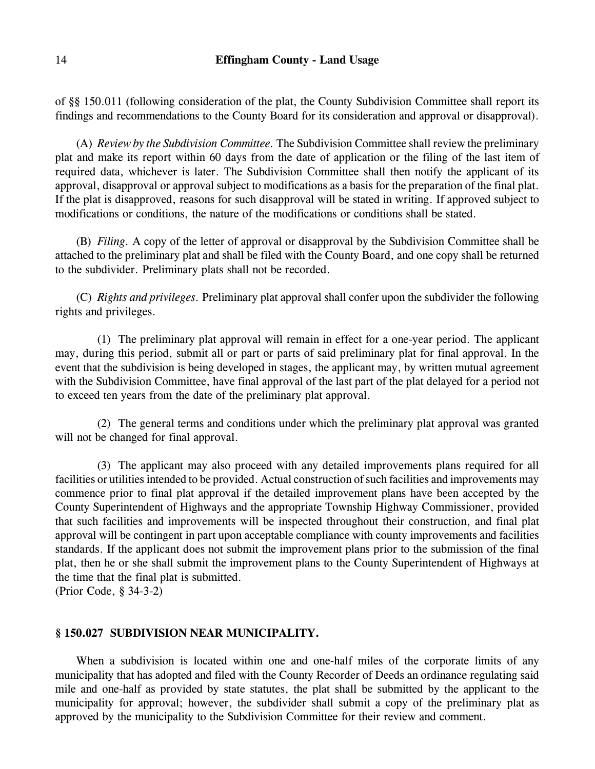### 14 **Effingham County - Land Usage**

of §§ 150.011 (following consideration of the plat, the County Subdivision Committee shall report its findings and recommendations to the County Board for its consideration and approval or disapproval).

(A) *Review by the Subdivision Committee.* The Subdivision Committee shall review the preliminary plat and make its report within 60 days from the date of application or the filing of the last item of required data, whichever is later. The Subdivision Committee shall then notify the applicant of its approval, disapproval or approval subject to modifications as a basis for the preparation of the final plat. If the plat is disapproved, reasons for such disapproval will be stated in writing. If approved subject to modifications or conditions, the nature of the modifications or conditions shall be stated.

(B) *Filing.* A copy of the letter of approval or disapproval by the Subdivision Committee shall be attached to the preliminary plat and shall be filed with the County Board, and one copy shall be returned to the subdivider. Preliminary plats shall not be recorded.

(C) *Rights and privileges.* Preliminary plat approval shall confer upon the subdivider the following rights and privileges.

(1) The preliminary plat approval will remain in effect for a one-year period. The applicant may, during this period, submit all or part or parts of said preliminary plat for final approval. In the event that the subdivision is being developed in stages, the applicant may, by written mutual agreement with the Subdivision Committee, have final approval of the last part of the plat delayed for a period not to exceed ten years from the date of the preliminary plat approval.

(2) The general terms and conditions under which the preliminary plat approval was granted will not be changed for final approval.

(3) The applicant may also proceed with any detailed improvements plans required for all facilities or utilities intended to be provided. Actual construction of such facilities and improvements may commence prior to final plat approval if the detailed improvement plans have been accepted by the County Superintendent of Highways and the appropriate Township Highway Commissioner, provided that such facilities and improvements will be inspected throughout their construction, and final plat approval will be contingent in part upon acceptable compliance with county improvements and facilities standards. If the applicant does not submit the improvement plans prior to the submission of the final plat, then he or she shall submit the improvement plans to the County Superintendent of Highways at the time that the final plat is submitted. (Prior Code, § 34-3-2)

#### **§ 150.027 SUBDIVISION NEAR MUNICIPALITY.**

When a subdivision is located within one and one-half miles of the corporate limits of any municipality that has adopted and filed with the County Recorder of Deeds an ordinance regulating said mile and one-half as provided by state statutes, the plat shall be submitted by the applicant to the municipality for approval; however, the subdivider shall submit a copy of the preliminary plat as approved by the municipality to the Subdivision Committee for their review and comment.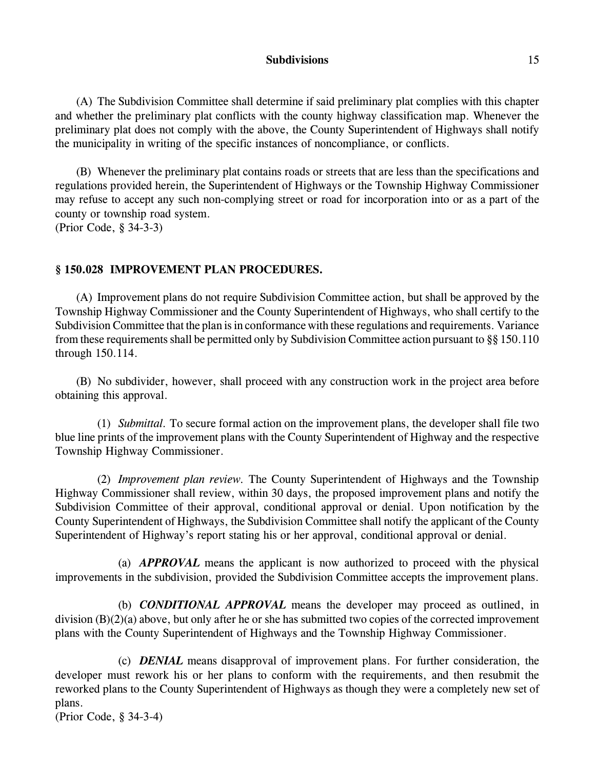(A) The Subdivision Committee shall determine if said preliminary plat complies with this chapter and whether the preliminary plat conflicts with the county highway classification map. Whenever the preliminary plat does not comply with the above, the County Superintendent of Highways shall notify the municipality in writing of the specific instances of noncompliance, or conflicts.

(B) Whenever the preliminary plat contains roads or streets that are less than the specifications and regulations provided herein, the Superintendent of Highways or the Township Highway Commissioner may refuse to accept any such non-complying street or road for incorporation into or as a part of the county or township road system.

(Prior Code, § 34-3-3)

## **§ 150.028 IMPROVEMENT PLAN PROCEDURES.**

(A) Improvement plans do not require Subdivision Committee action, but shall be approved by the Township Highway Commissioner and the County Superintendent of Highways, who shall certify to the Subdivision Committee that the plan is in conformance with these regulations and requirements. Variance from these requirements shall be permitted only by Subdivision Committee action pursuant to §§ 150.110 through 150.114.

(B) No subdivider, however, shall proceed with any construction work in the project area before obtaining this approval.

(1) *Submittal.* To secure formal action on the improvement plans, the developer shall file two blue line prints of the improvement plans with the County Superintendent of Highway and the respective Township Highway Commissioner.

(2) *Improvement plan review.* The County Superintendent of Highways and the Township Highway Commissioner shall review, within 30 days, the proposed improvement plans and notify the Subdivision Committee of their approval, conditional approval or denial. Upon notification by the County Superintendent of Highways, the Subdivision Committee shall notify the applicant of the County Superintendent of Highway's report stating his or her approval, conditional approval or denial.

(a) *APPROVAL* means the applicant is now authorized to proceed with the physical improvements in the subdivision, provided the Subdivision Committee accepts the improvement plans.

(b) *CONDITIONAL APPROVAL* means the developer may proceed as outlined, in division (B)(2)(a) above, but only after he or she has submitted two copies of the corrected improvement plans with the County Superintendent of Highways and the Township Highway Commissioner.

(c) *DENIAL* means disapproval of improvement plans. For further consideration, the developer must rework his or her plans to conform with the requirements, and then resubmit the reworked plans to the County Superintendent of Highways as though they were a completely new set of plans. (Prior Code, § 34-3-4)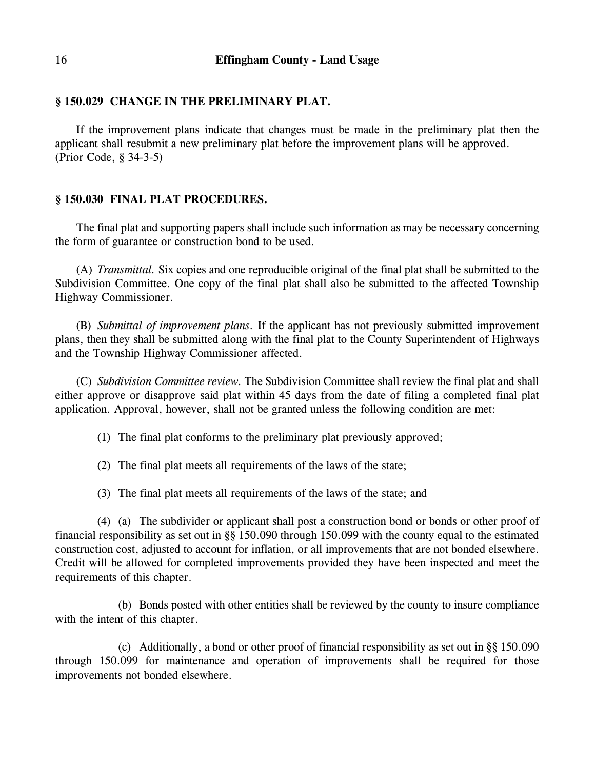## **§ 150.029 CHANGE IN THE PRELIMINARY PLAT.**

If the improvement plans indicate that changes must be made in the preliminary plat then the applicant shall resubmit a new preliminary plat before the improvement plans will be approved. (Prior Code, § 34-3-5)

### **§ 150.030 FINAL PLAT PROCEDURES.**

The final plat and supporting papers shall include such information as may be necessary concerning the form of guarantee or construction bond to be used.

(A) *Transmittal.* Six copies and one reproducible original of the final plat shall be submitted to the Subdivision Committee. One copy of the final plat shall also be submitted to the affected Township Highway Commissioner.

(B) *Submittal of improvement plans.* If the applicant has not previously submitted improvement plans, then they shall be submitted along with the final plat to the County Superintendent of Highways and the Township Highway Commissioner affected.

(C) *Subdivision Committee review.* The Subdivision Committee shall review the final plat and shall either approve or disapprove said plat within 45 days from the date of filing a completed final plat application. Approval, however, shall not be granted unless the following condition are met:

- (1) The final plat conforms to the preliminary plat previously approved;
- (2) The final plat meets all requirements of the laws of the state;
- (3) The final plat meets all requirements of the laws of the state; and

(4) (a) The subdivider or applicant shall post a construction bond or bonds or other proof of financial responsibility as set out in §§ 150.090 through 150.099 with the county equal to the estimated construction cost, adjusted to account for inflation, or all improvements that are not bonded elsewhere. Credit will be allowed for completed improvements provided they have been inspected and meet the requirements of this chapter.

(b) Bonds posted with other entities shall be reviewed by the county to insure compliance with the intent of this chapter.

(c) Additionally, a bond or other proof of financial responsibility as set out in §§ 150.090 through 150.099 for maintenance and operation of improvements shall be required for those improvements not bonded elsewhere.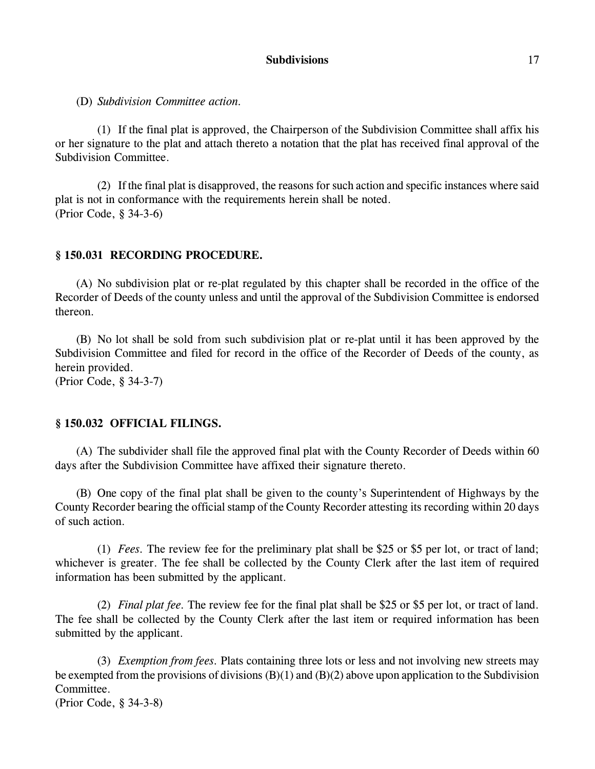(D) *Subdivision Committee action.*

(1) If the final plat is approved, the Chairperson of the Subdivision Committee shall affix his or her signature to the plat and attach thereto a notation that the plat has received final approval of the Subdivision Committee.

(2) If the final plat is disapproved, the reasons for such action and specific instances where said plat is not in conformance with the requirements herein shall be noted. (Prior Code, § 34-3-6)

### **§ 150.031 RECORDING PROCEDURE.**

(A) No subdivision plat or re-plat regulated by this chapter shall be recorded in the office of the Recorder of Deeds of the county unless and until the approval of the Subdivision Committee is endorsed thereon.

(B) No lot shall be sold from such subdivision plat or re-plat until it has been approved by the Subdivision Committee and filed for record in the office of the Recorder of Deeds of the county, as herein provided.

(Prior Code, § 34-3-7)

#### **§ 150.032 OFFICIAL FILINGS.**

(A) The subdivider shall file the approved final plat with the County Recorder of Deeds within 60 days after the Subdivision Committee have affixed their signature thereto.

(B) One copy of the final plat shall be given to the county's Superintendent of Highways by the County Recorder bearing the official stamp of the County Recorder attesting its recording within 20 days of such action.

(1) *Fees.* The review fee for the preliminary plat shall be \$25 or \$5 per lot, or tract of land; whichever is greater. The fee shall be collected by the County Clerk after the last item of required information has been submitted by the applicant.

(2) *Final plat fee.* The review fee for the final plat shall be \$25 or \$5 per lot, or tract of land. The fee shall be collected by the County Clerk after the last item or required information has been submitted by the applicant.

(3) *Exemption from fees.* Plats containing three lots or less and not involving new streets may be exempted from the provisions of divisions (B)(1) and (B)(2) above upon application to the Subdivision Committee.

(Prior Code, § 34-3-8)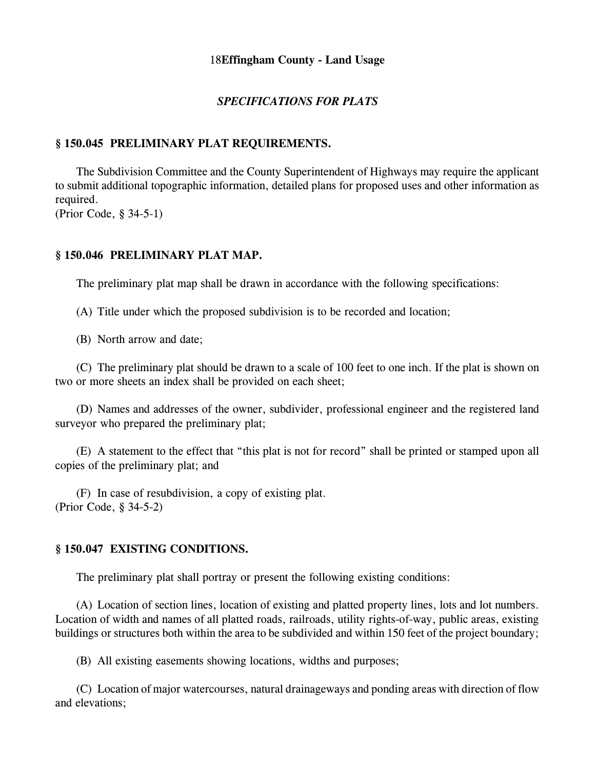## *SPECIFICATIONS FOR PLATS*

## **§ 150.045 PRELIMINARY PLAT REQUIREMENTS.**

The Subdivision Committee and the County Superintendent of Highways may require the applicant to submit additional topographic information, detailed plans for proposed uses and other information as required.

(Prior Code, § 34-5-1)

### **§ 150.046 PRELIMINARY PLAT MAP.**

The preliminary plat map shall be drawn in accordance with the following specifications:

(A) Title under which the proposed subdivision is to be recorded and location;

(B) North arrow and date;

(C) The preliminary plat should be drawn to a scale of 100 feet to one inch. If the plat is shown on two or more sheets an index shall be provided on each sheet;

(D) Names and addresses of the owner, subdivider, professional engineer and the registered land surveyor who prepared the preliminary plat;

(E) A statement to the effect that "this plat is not for record" shall be printed or stamped upon all copies of the preliminary plat; and

(F) In case of resubdivision, a copy of existing plat. (Prior Code, § 34-5-2)

### **§ 150.047 EXISTING CONDITIONS.**

The preliminary plat shall portray or present the following existing conditions:

(A) Location of section lines, location of existing and platted property lines, lots and lot numbers. Location of width and names of all platted roads, railroads, utility rights-of-way, public areas, existing buildings or structures both within the area to be subdivided and within 150 feet of the project boundary;

(B) All existing easements showing locations, widths and purposes;

(C) Location of major watercourses, natural drainageways and ponding areas with direction of flow and elevations;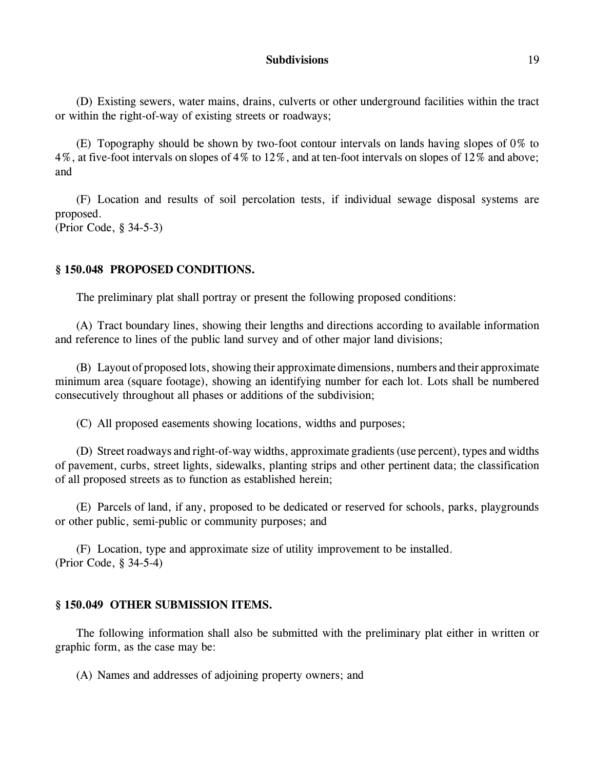(D) Existing sewers, water mains, drains, culverts or other underground facilities within the tract or within the right-of-way of existing streets or roadways;

(E) Topography should be shown by two-foot contour intervals on lands having slopes of 0% to 4%, at five-foot intervals on slopes of 4% to 12%, and at ten-foot intervals on slopes of 12% and above; and

(F) Location and results of soil percolation tests, if individual sewage disposal systems are proposed.

(Prior Code, § 34-5-3)

## **§ 150.048 PROPOSED CONDITIONS.**

The preliminary plat shall portray or present the following proposed conditions:

(A) Tract boundary lines, showing their lengths and directions according to available information and reference to lines of the public land survey and of other major land divisions;

(B) Layout of proposed lots, showing their approximate dimensions, numbers and their approximate minimum area (square footage), showing an identifying number for each lot. Lots shall be numbered consecutively throughout all phases or additions of the subdivision;

(C) All proposed easements showing locations, widths and purposes;

(D) Street roadways and right-of-way widths, approximate gradients (use percent), types and widths of pavement, curbs, street lights, sidewalks, planting strips and other pertinent data; the classification of all proposed streets as to function as established herein;

(E) Parcels of land, if any, proposed to be dedicated or reserved for schools, parks, playgrounds or other public, semi-public or community purposes; and

(F) Location, type and approximate size of utility improvement to be installed. (Prior Code, § 34-5-4)

### **§ 150.049 OTHER SUBMISSION ITEMS.**

The following information shall also be submitted with the preliminary plat either in written or graphic form, as the case may be:

(A) Names and addresses of adjoining property owners; and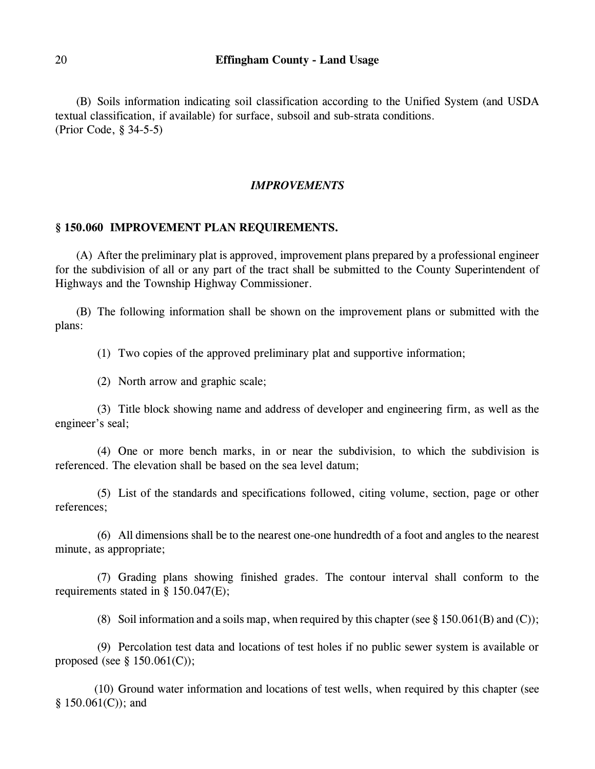(B) Soils information indicating soil classification according to the Unified System (and USDA textual classification, if available) for surface, subsoil and sub-strata conditions. (Prior Code, § 34-5-5)

### *IMPROVEMENTS*

#### **§ 150.060 IMPROVEMENT PLAN REQUIREMENTS.**

(A) After the preliminary plat is approved, improvement plans prepared by a professional engineer for the subdivision of all or any part of the tract shall be submitted to the County Superintendent of Highways and the Township Highway Commissioner.

(B) The following information shall be shown on the improvement plans or submitted with the plans:

(1) Two copies of the approved preliminary plat and supportive information;

(2) North arrow and graphic scale;

(3) Title block showing name and address of developer and engineering firm, as well as the engineer's seal;

(4) One or more bench marks, in or near the subdivision, to which the subdivision is referenced. The elevation shall be based on the sea level datum;

(5) List of the standards and specifications followed, citing volume, section, page or other references;

(6) All dimensions shall be to the nearest one-one hundredth of a foot and angles to the nearest minute, as appropriate;

(7) Grading plans showing finished grades. The contour interval shall conform to the requirements stated in § 150.047(E);

(8) Soil information and a soils map, when required by this chapter (see  $\S 150.061(B)$  and (C));

(9) Percolation test data and locations of test holes if no public sewer system is available or proposed (see  $\S$  150.061(C));

(10) Ground water information and locations of test wells, when required by this chapter (see  $§ 150.061(C)$ ; and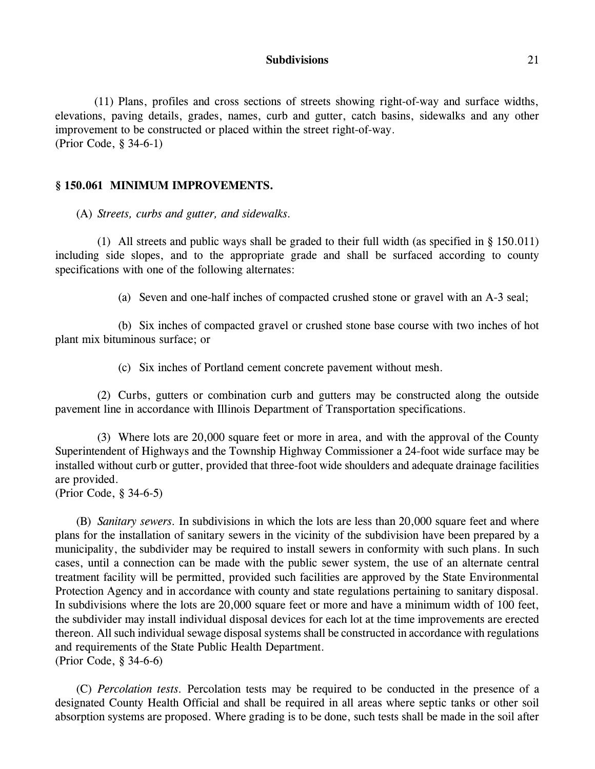(11) Plans, profiles and cross sections of streets showing right-of-way and surface widths, elevations, paving details, grades, names, curb and gutter, catch basins, sidewalks and any other improvement to be constructed or placed within the street right-of-way. (Prior Code, § 34-6-1)

#### **§ 150.061 MINIMUM IMPROVEMENTS.**

(A) *Streets, curbs and gutter, and sidewalks.*

(1) All streets and public ways shall be graded to their full width (as specified in § 150.011) including side slopes, and to the appropriate grade and shall be surfaced according to county specifications with one of the following alternates:

(a) Seven and one-half inches of compacted crushed stone or gravel with an A-3 seal;

(b) Six inches of compacted gravel or crushed stone base course with two inches of hot plant mix bituminous surface; or

(c) Six inches of Portland cement concrete pavement without mesh.

(2) Curbs, gutters or combination curb and gutters may be constructed along the outside pavement line in accordance with Illinois Department of Transportation specifications.

(3) Where lots are 20,000 square feet or more in area, and with the approval of the County Superintendent of Highways and the Township Highway Commissioner a 24-foot wide surface may be installed without curb or gutter, provided that three-foot wide shoulders and adequate drainage facilities are provided.

(Prior Code, § 34-6-5)

(B) *Sanitary sewers.* In subdivisions in which the lots are less than 20,000 square feet and where plans for the installation of sanitary sewers in the vicinity of the subdivision have been prepared by a municipality, the subdivider may be required to install sewers in conformity with such plans. In such cases, until a connection can be made with the public sewer system, the use of an alternate central treatment facility will be permitted, provided such facilities are approved by the State Environmental Protection Agency and in accordance with county and state regulations pertaining to sanitary disposal. In subdivisions where the lots are 20,000 square feet or more and have a minimum width of 100 feet, the subdivider may install individual disposal devices for each lot at the time improvements are erected thereon. All such individual sewage disposal systems shall be constructed in accordance with regulations and requirements of the State Public Health Department. (Prior Code, § 34-6-6)

(C) *Percolation tests.* Percolation tests may be required to be conducted in the presence of a designated County Health Official and shall be required in all areas where septic tanks or other soil absorption systems are proposed. Where grading is to be done, such tests shall be made in the soil after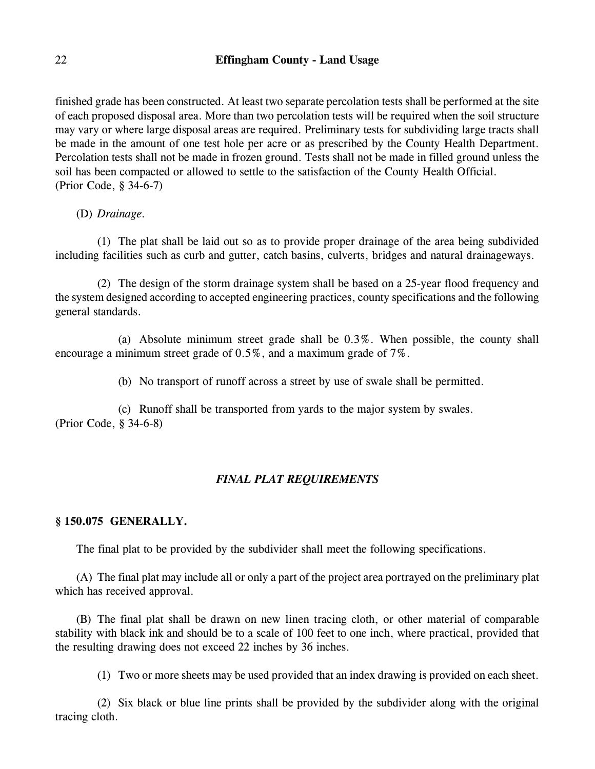finished grade has been constructed. At least two separate percolation tests shall be performed at the site of each proposed disposal area. More than two percolation tests will be required when the soil structure may vary or where large disposal areas are required. Preliminary tests for subdividing large tracts shall be made in the amount of one test hole per acre or as prescribed by the County Health Department. Percolation tests shall not be made in frozen ground. Tests shall not be made in filled ground unless the soil has been compacted or allowed to settle to the satisfaction of the County Health Official. (Prior Code, § 34-6-7)

(D) *Drainage.*

(1) The plat shall be laid out so as to provide proper drainage of the area being subdivided including facilities such as curb and gutter, catch basins, culverts, bridges and natural drainageways.

(2) The design of the storm drainage system shall be based on a 25-year flood frequency and the system designed according to accepted engineering practices, county specifications and the following general standards.

(a) Absolute minimum street grade shall be 0.3%. When possible, the county shall encourage a minimum street grade of 0.5%, and a maximum grade of 7%.

(b) No transport of runoff across a street by use of swale shall be permitted.

(c) Runoff shall be transported from yards to the major system by swales. (Prior Code, § 34-6-8)

## *FINAL PLAT REQUIREMENTS*

## **§ 150.075 GENERALLY.**

The final plat to be provided by the subdivider shall meet the following specifications.

(A) The final plat may include all or only a part of the project area portrayed on the preliminary plat which has received approval.

(B) The final plat shall be drawn on new linen tracing cloth, or other material of comparable stability with black ink and should be to a scale of 100 feet to one inch, where practical, provided that the resulting drawing does not exceed 22 inches by 36 inches.

(1) Two or more sheets may be used provided that an index drawing is provided on each sheet.

(2) Six black or blue line prints shall be provided by the subdivider along with the original tracing cloth.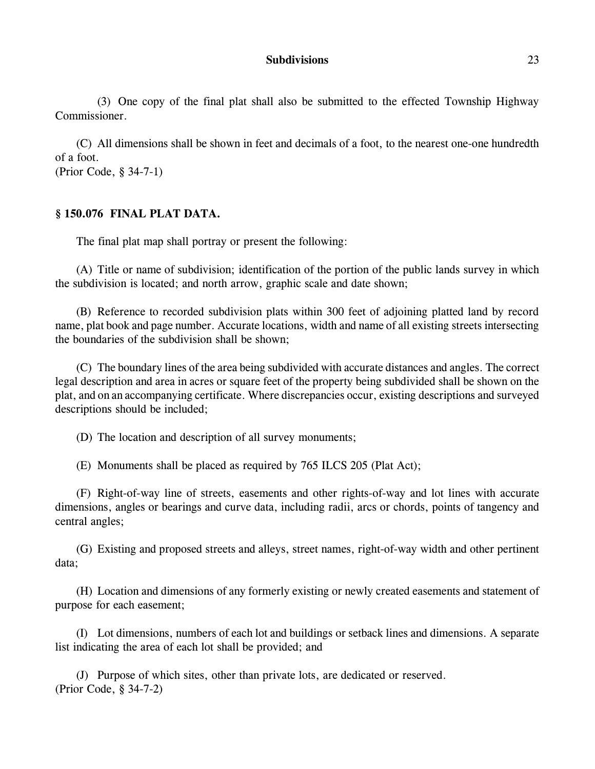(3) One copy of the final plat shall also be submitted to the effected Township Highway Commissioner.

(C) All dimensions shall be shown in feet and decimals of a foot, to the nearest one-one hundredth of a foot. (Prior Code, § 34-7-1)

### **§ 150.076 FINAL PLAT DATA.**

The final plat map shall portray or present the following:

(A) Title or name of subdivision; identification of the portion of the public lands survey in which the subdivision is located; and north arrow, graphic scale and date shown;

(B) Reference to recorded subdivision plats within 300 feet of adjoining platted land by record name, plat book and page number. Accurate locations, width and name of all existing streets intersecting the boundaries of the subdivision shall be shown;

(C) The boundary lines of the area being subdivided with accurate distances and angles. The correct legal description and area in acres or square feet of the property being subdivided shall be shown on the plat, and on an accompanying certificate. Where discrepancies occur, existing descriptions and surveyed descriptions should be included;

(D) The location and description of all survey monuments;

(E) Monuments shall be placed as required by 765 ILCS 205 (Plat Act);

(F) Right-of-way line of streets, easements and other rights-of-way and lot lines with accurate dimensions, angles or bearings and curve data, including radii, arcs or chords, points of tangency and central angles;

(G) Existing and proposed streets and alleys, street names, right-of-way width and other pertinent data;

(H) Location and dimensions of any formerly existing or newly created easements and statement of purpose for each easement;

(I) Lot dimensions, numbers of each lot and buildings or setback lines and dimensions. A separate list indicating the area of each lot shall be provided; and

(J) Purpose of which sites, other than private lots, are dedicated or reserved. (Prior Code, § 34-7-2)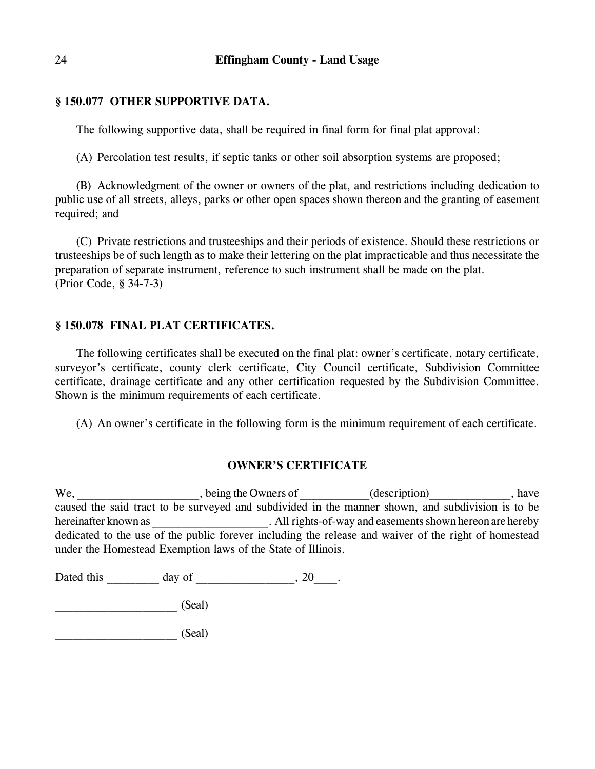## **§ 150.077 OTHER SUPPORTIVE DATA.**

The following supportive data, shall be required in final form for final plat approval:

(A) Percolation test results, if septic tanks or other soil absorption systems are proposed;

(B) Acknowledgment of the owner or owners of the plat, and restrictions including dedication to public use of all streets, alleys, parks or other open spaces shown thereon and the granting of easement required; and

(C) Private restrictions and trusteeships and their periods of existence. Should these restrictions or trusteeships be of such length as to make their lettering on the plat impracticable and thus necessitate the preparation of separate instrument, reference to such instrument shall be made on the plat. (Prior Code, § 34-7-3)

## **§ 150.078 FINAL PLAT CERTIFICATES.**

The following certificates shall be executed on the final plat: owner's certificate, notary certificate, surveyor's certificate, county clerk certificate, City Council certificate, Subdivision Committee certificate, drainage certificate and any other certification requested by the Subdivision Committee. Shown is the minimum requirements of each certificate.

(A) An owner's certificate in the following form is the minimum requirement of each certificate.

## **OWNER'S CERTIFICATE**

We, \_\_\_\_\_\_\_\_\_\_\_\_\_\_\_\_\_\_, being the Owners of \_\_\_\_\_\_\_\_\_(description)\_\_\_\_\_\_\_\_\_\_, have caused the said tract to be surveyed and subdivided in the manner shown, and subdivision is to be hereinafter known as  $\blacksquare$ . All rights-of-way and easements shown hereon are hereby dedicated to the use of the public forever including the release and waiver of the right of homestead under the Homestead Exemption laws of the State of Illinois.

Dated this \_\_\_\_\_\_\_\_\_ day of \_\_\_\_\_\_\_\_\_\_\_\_\_\_, 20\_\_\_\_.

\_\_\_\_\_\_\_\_\_\_\_\_\_\_\_\_\_\_\_\_\_ (Seal)

 $(Seal)$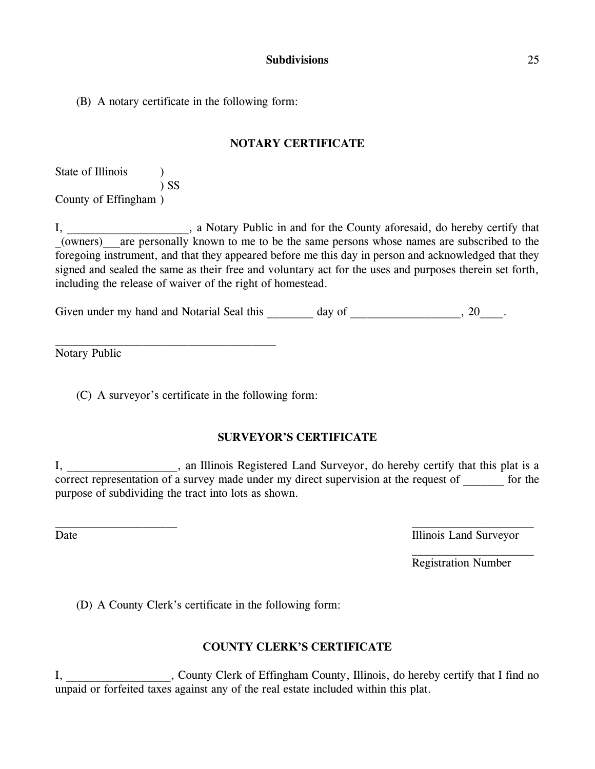(B) A notary certificate in the following form:

# **NOTARY CERTIFICATE**

State of Illinois (b) ) SS County of Effingham )

I, \_\_\_\_\_\_\_\_\_\_\_\_\_\_\_\_\_\_\_, a Notary Public in and for the County aforesaid, do hereby certify that \_(owners)\_\_\_are personally known to me to be the same persons whose names are subscribed to the foregoing instrument, and that they appeared before me this day in person and acknowledged that they signed and sealed the same as their free and voluntary act for the uses and purposes therein set forth, including the release of waiver of the right of homestead.

Given under my hand and Notarial Seal this day of the same can consider the same can consider the same can consider the same can consider the same can consider the same can consider the same can consider the same can consi

Notary Public

(C) A surveyor's certificate in the following form:

\_\_\_\_\_\_\_\_\_\_\_\_\_\_\_\_\_\_\_\_\_\_\_\_\_\_\_\_\_\_\_\_\_\_\_\_\_\_

## **SURVEYOR'S CERTIFICATE**

I, an Illinois Registered Land Surveyor, do hereby certify that this plat is a correct representation of a survey made under my direct supervision at the request of for the purpose of subdividing the tract into lots as shown.

\_\_\_\_\_\_\_\_\_\_\_\_\_\_\_\_\_\_\_\_\_ \_\_\_\_\_\_\_\_\_\_\_\_\_\_\_\_\_\_\_\_\_

Date Illinois Land Surveyor  $\overline{\phantom{a}}$  , where  $\overline{\phantom{a}}$  , where  $\overline{\phantom{a}}$  , where  $\overline{\phantom{a}}$ 

Registration Number

(D) A County Clerk's certificate in the following form:

## **COUNTY CLERK'S CERTIFICATE**

I, County Clerk of Effingham County, Illinois, do hereby certify that I find no unpaid or forfeited taxes against any of the real estate included within this plat.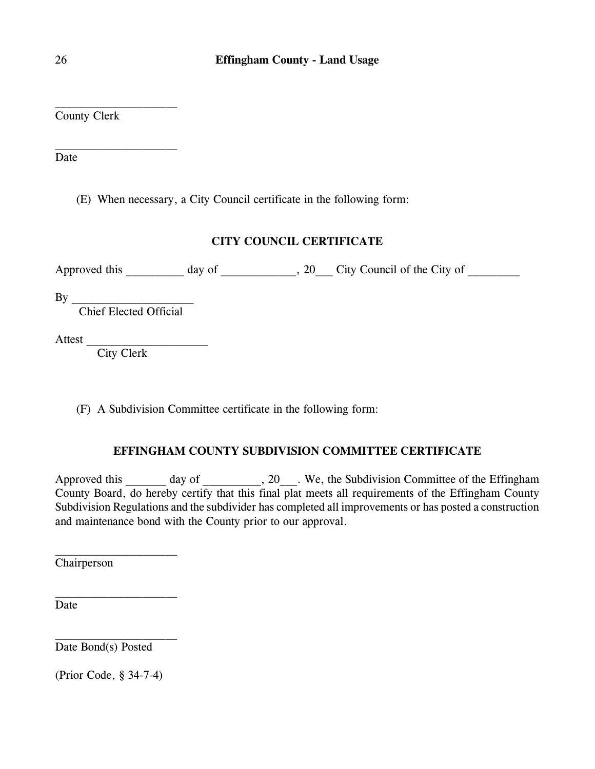County Clerk

 $\overline{\phantom{a}}$  , where  $\overline{\phantom{a}}$ 

Date

(E) When necessary, a City Council certificate in the following form:

# **CITY COUNCIL CERTIFICATE**

Approved this \_\_\_\_\_\_\_\_\_ day of \_\_\_\_\_\_\_\_\_\_\_\_, 20\_\_\_ City Council of the City of  $\_\_$ 

 $By \_\_$ 

Chief Elected Official

Attest

City Clerk

(F) A Subdivision Committee certificate in the following form:

# **EFFINGHAM COUNTY SUBDIVISION COMMITTEE CERTIFICATE**

Approved this day of  $\qquad \qquad$ , 20  $\qquad$ . We, the Subdivision Committee of the Effingham County Board, do hereby certify that this final plat meets all requirements of the Effingham County Subdivision Regulations and the subdivider has completed all improvements or has posted a construction and maintenance bond with the County prior to our approval.

Chairperson

Date

Date Bond(s) Posted

(Prior Code, § 34-7-4)

 $\overline{\phantom{a}}$  , where  $\overline{\phantom{a}}$ 

 $\overline{\phantom{a}}$  , where  $\overline{\phantom{a}}$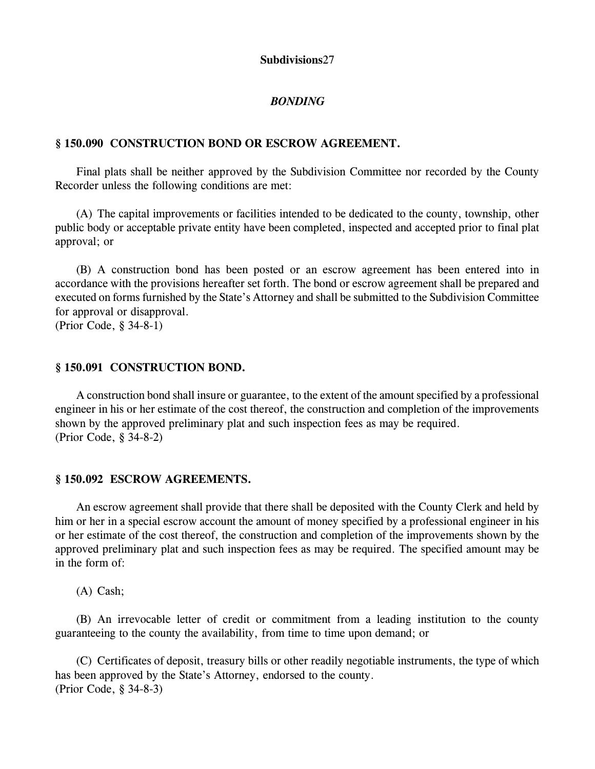## *BONDING*

## **§ 150.090 CONSTRUCTION BOND OR ESCROW AGREEMENT.**

Final plats shall be neither approved by the Subdivision Committee nor recorded by the County Recorder unless the following conditions are met:

(A) The capital improvements or facilities intended to be dedicated to the county, township, other public body or acceptable private entity have been completed, inspected and accepted prior to final plat approval; or

(B) A construction bond has been posted or an escrow agreement has been entered into in accordance with the provisions hereafter set forth. The bond or escrow agreement shall be prepared and executed on forms furnished by the State's Attorney and shall be submitted to the Subdivision Committee for approval or disapproval.

(Prior Code, § 34-8-1)

## **§ 150.091 CONSTRUCTION BOND.**

A construction bond shall insure or guarantee, to the extent of the amount specified by a professional engineer in his or her estimate of the cost thereof, the construction and completion of the improvements shown by the approved preliminary plat and such inspection fees as may be required. (Prior Code, § 34-8-2)

## **§ 150.092 ESCROW AGREEMENTS.**

An escrow agreement shall provide that there shall be deposited with the County Clerk and held by him or her in a special escrow account the amount of money specified by a professional engineer in his or her estimate of the cost thereof, the construction and completion of the improvements shown by the approved preliminary plat and such inspection fees as may be required. The specified amount may be in the form of:

(A) Cash;

(B) An irrevocable letter of credit or commitment from a leading institution to the county guaranteeing to the county the availability, from time to time upon demand; or

(C) Certificates of deposit, treasury bills or other readily negotiable instruments, the type of which has been approved by the State's Attorney, endorsed to the county. (Prior Code, § 34-8-3)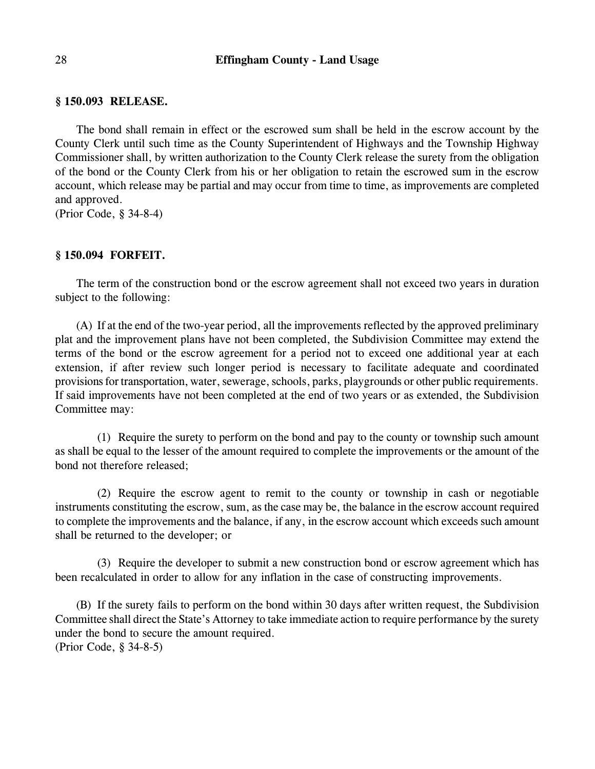### **§ 150.093 RELEASE.**

The bond shall remain in effect or the escrowed sum shall be held in the escrow account by the County Clerk until such time as the County Superintendent of Highways and the Township Highway Commissioner shall, by written authorization to the County Clerk release the surety from the obligation of the bond or the County Clerk from his or her obligation to retain the escrowed sum in the escrow account, which release may be partial and may occur from time to time, as improvements are completed and approved.

(Prior Code, § 34-8-4)

### **§ 150.094 FORFEIT.**

The term of the construction bond or the escrow agreement shall not exceed two years in duration subject to the following:

(A) If at the end of the two-year period, all the improvements reflected by the approved preliminary plat and the improvement plans have not been completed, the Subdivision Committee may extend the terms of the bond or the escrow agreement for a period not to exceed one additional year at each extension, if after review such longer period is necessary to facilitate adequate and coordinated provisions for transportation, water, sewerage, schools, parks, playgrounds or other public requirements. If said improvements have not been completed at the end of two years or as extended, the Subdivision Committee may:

(1) Require the surety to perform on the bond and pay to the county or township such amount as shall be equal to the lesser of the amount required to complete the improvements or the amount of the bond not therefore released;

(2) Require the escrow agent to remit to the county or township in cash or negotiable instruments constituting the escrow, sum, as the case may be, the balance in the escrow account required to complete the improvements and the balance, if any, in the escrow account which exceeds such amount shall be returned to the developer; or

(3) Require the developer to submit a new construction bond or escrow agreement which has been recalculated in order to allow for any inflation in the case of constructing improvements.

(B) If the surety fails to perform on the bond within 30 days after written request, the Subdivision Committee shall direct the State's Attorney to take immediate action to require performance by the surety under the bond to secure the amount required.

(Prior Code, § 34-8-5)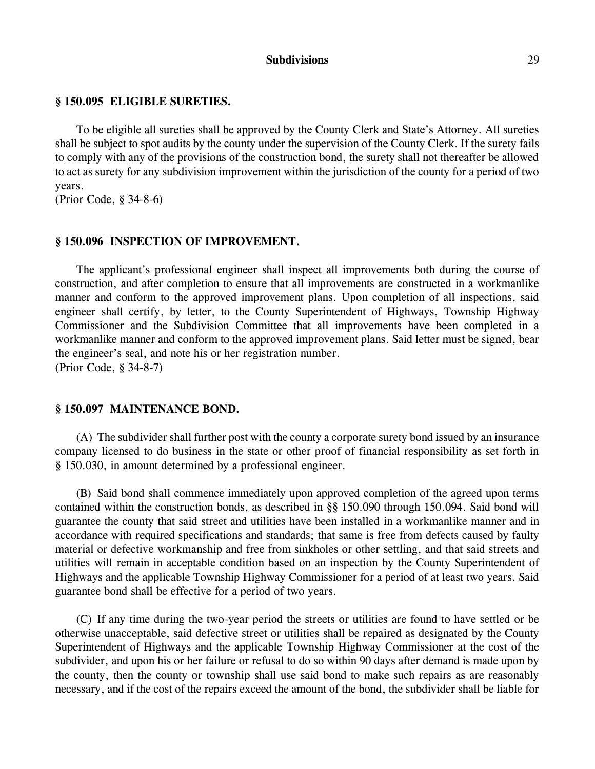### **§ 150.095 ELIGIBLE SURETIES.**

To be eligible all sureties shall be approved by the County Clerk and State's Attorney. All sureties shall be subject to spot audits by the county under the supervision of the County Clerk. If the surety fails to comply with any of the provisions of the construction bond, the surety shall not thereafter be allowed to act as surety for any subdivision improvement within the jurisdiction of the county for a period of two years.

(Prior Code, § 34-8-6)

#### **§ 150.096 INSPECTION OF IMPROVEMENT.**

The applicant's professional engineer shall inspect all improvements both during the course of construction, and after completion to ensure that all improvements are constructed in a workmanlike manner and conform to the approved improvement plans. Upon completion of all inspections, said engineer shall certify, by letter, to the County Superintendent of Highways, Township Highway Commissioner and the Subdivision Committee that all improvements have been completed in a workmanlike manner and conform to the approved improvement plans. Said letter must be signed, bear the engineer's seal, and note his or her registration number. (Prior Code, § 34-8-7)

#### **§ 150.097 MAINTENANCE BOND.**

(A) The subdivider shall further post with the county a corporate surety bond issued by an insurance company licensed to do business in the state or other proof of financial responsibility as set forth in § 150.030, in amount determined by a professional engineer.

(B) Said bond shall commence immediately upon approved completion of the agreed upon terms contained within the construction bonds, as described in §§ 150.090 through 150.094. Said bond will guarantee the county that said street and utilities have been installed in a workmanlike manner and in accordance with required specifications and standards; that same is free from defects caused by faulty material or defective workmanship and free from sinkholes or other settling, and that said streets and utilities will remain in acceptable condition based on an inspection by the County Superintendent of Highways and the applicable Township Highway Commissioner for a period of at least two years. Said guarantee bond shall be effective for a period of two years.

(C) If any time during the two-year period the streets or utilities are found to have settled or be otherwise unacceptable, said defective street or utilities shall be repaired as designated by the County Superintendent of Highways and the applicable Township Highway Commissioner at the cost of the subdivider, and upon his or her failure or refusal to do so within 90 days after demand is made upon by the county, then the county or township shall use said bond to make such repairs as are reasonably necessary, and if the cost of the repairs exceed the amount of the bond, the subdivider shall be liable for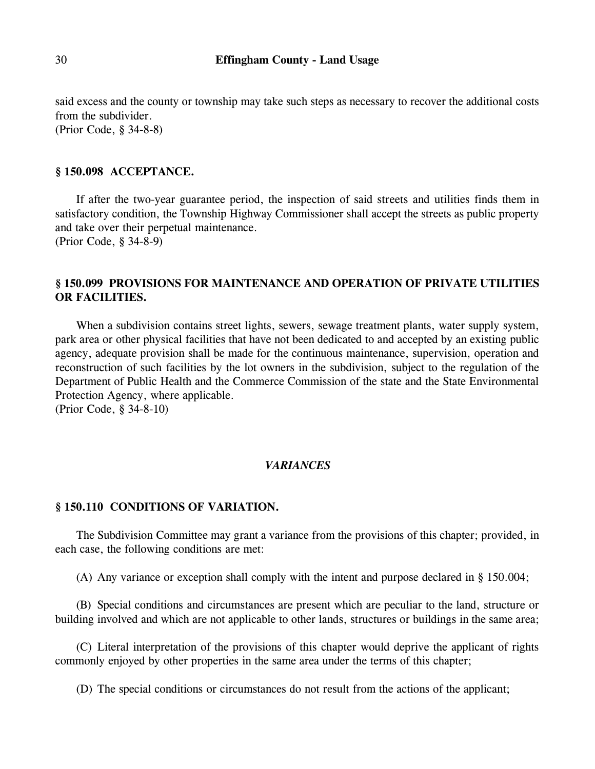said excess and the county or township may take such steps as necessary to recover the additional costs from the subdivider. (Prior Code, § 34-8-8)

#### **§ 150.098 ACCEPTANCE.**

If after the two-year guarantee period, the inspection of said streets and utilities finds them in satisfactory condition, the Township Highway Commissioner shall accept the streets as public property and take over their perpetual maintenance. (Prior Code, § 34-8-9)

## **§ 150.099 PROVISIONS FOR MAINTENANCE AND OPERATION OF PRIVATE UTILITIES OR FACILITIES.**

When a subdivision contains street lights, sewers, sewage treatment plants, water supply system, park area or other physical facilities that have not been dedicated to and accepted by an existing public agency, adequate provision shall be made for the continuous maintenance, supervision, operation and reconstruction of such facilities by the lot owners in the subdivision, subject to the regulation of the Department of Public Health and the Commerce Commission of the state and the State Environmental Protection Agency, where applicable.

(Prior Code, § 34-8-10)

## *VARIANCES*

### **§ 150.110 CONDITIONS OF VARIATION.**

The Subdivision Committee may grant a variance from the provisions of this chapter; provided, in each case, the following conditions are met:

(A) Any variance or exception shall comply with the intent and purpose declared in § 150.004;

(B) Special conditions and circumstances are present which are peculiar to the land, structure or building involved and which are not applicable to other lands, structures or buildings in the same area;

(C) Literal interpretation of the provisions of this chapter would deprive the applicant of rights commonly enjoyed by other properties in the same area under the terms of this chapter;

(D) The special conditions or circumstances do not result from the actions of the applicant;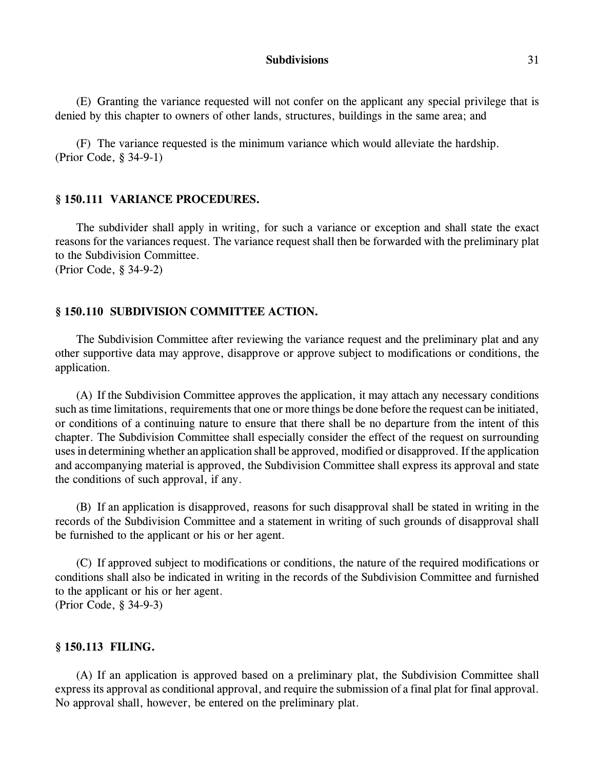(E) Granting the variance requested will not confer on the applicant any special privilege that is denied by this chapter to owners of other lands, structures, buildings in the same area; and

(F) The variance requested is the minimum variance which would alleviate the hardship. (Prior Code, § 34-9-1)

#### **§ 150.111 VARIANCE PROCEDURES.**

The subdivider shall apply in writing, for such a variance or exception and shall state the exact reasons for the variances request. The variance request shall then be forwarded with the preliminary plat to the Subdivision Committee.

(Prior Code, § 34-9-2)

## **§ 150.110 SUBDIVISION COMMITTEE ACTION.**

The Subdivision Committee after reviewing the variance request and the preliminary plat and any other supportive data may approve, disapprove or approve subject to modifications or conditions, the application.

(A) If the Subdivision Committee approves the application, it may attach any necessary conditions such as time limitations, requirements that one or more things be done before the request can be initiated, or conditions of a continuing nature to ensure that there shall be no departure from the intent of this chapter. The Subdivision Committee shall especially consider the effect of the request on surrounding uses in determining whether an application shall be approved, modified or disapproved. If the application and accompanying material is approved, the Subdivision Committee shall express its approval and state the conditions of such approval, if any.

(B) If an application is disapproved, reasons for such disapproval shall be stated in writing in the records of the Subdivision Committee and a statement in writing of such grounds of disapproval shall be furnished to the applicant or his or her agent.

(C) If approved subject to modifications or conditions, the nature of the required modifications or conditions shall also be indicated in writing in the records of the Subdivision Committee and furnished to the applicant or his or her agent. (Prior Code, § 34-9-3)

### **§ 150.113 FILING.**

(A) If an application is approved based on a preliminary plat, the Subdivision Committee shall express its approval as conditional approval, and require the submission of a final plat for final approval. No approval shall, however, be entered on the preliminary plat.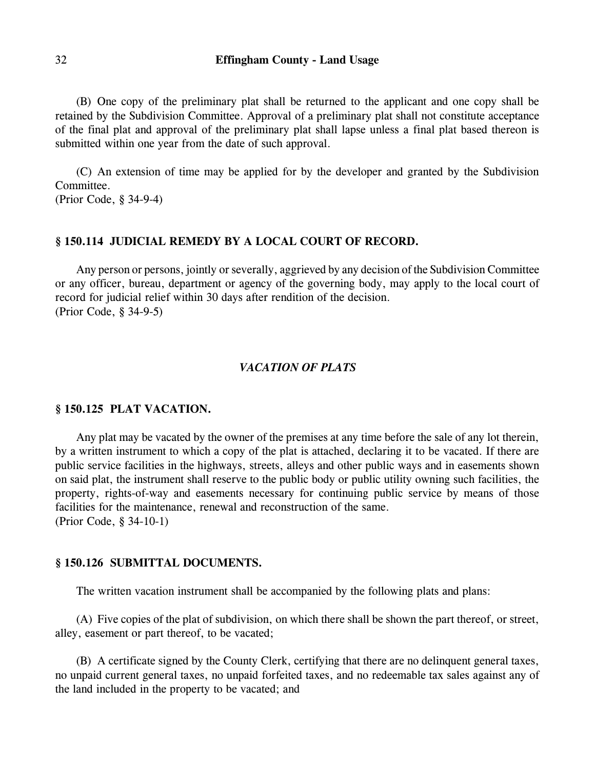(B) One copy of the preliminary plat shall be returned to the applicant and one copy shall be retained by the Subdivision Committee. Approval of a preliminary plat shall not constitute acceptance of the final plat and approval of the preliminary plat shall lapse unless a final plat based thereon is submitted within one year from the date of such approval.

(C) An extension of time may be applied for by the developer and granted by the Subdivision Committee.

(Prior Code, § 34-9-4)

### **§ 150.114 JUDICIAL REMEDY BY A LOCAL COURT OF RECORD.**

Any person or persons, jointly or severally, aggrieved by any decision of the Subdivision Committee or any officer, bureau, department or agency of the governing body, may apply to the local court of record for judicial relief within 30 days after rendition of the decision. (Prior Code, § 34-9-5)

### *VACATION OF PLATS*

#### **§ 150.125 PLAT VACATION.**

Any plat may be vacated by the owner of the premises at any time before the sale of any lot therein, by a written instrument to which a copy of the plat is attached, declaring it to be vacated. If there are public service facilities in the highways, streets, alleys and other public ways and in easements shown on said plat, the instrument shall reserve to the public body or public utility owning such facilities, the property, rights-of-way and easements necessary for continuing public service by means of those facilities for the maintenance, renewal and reconstruction of the same. (Prior Code, § 34-10-1)

#### **§ 150.126 SUBMITTAL DOCUMENTS.**

The written vacation instrument shall be accompanied by the following plats and plans:

(A) Five copies of the plat of subdivision, on which there shall be shown the part thereof, or street, alley, easement or part thereof, to be vacated;

(B) A certificate signed by the County Clerk, certifying that there are no delinquent general taxes, no unpaid current general taxes, no unpaid forfeited taxes, and no redeemable tax sales against any of the land included in the property to be vacated; and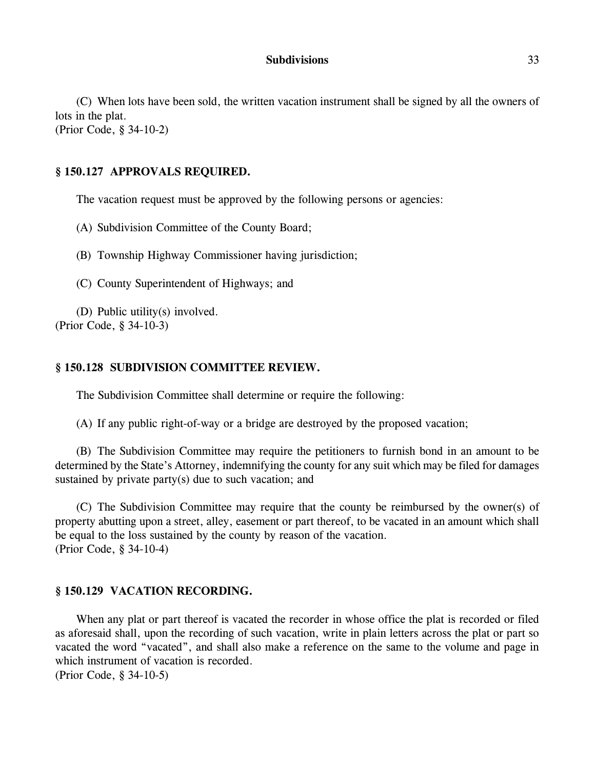(C) When lots have been sold, the written vacation instrument shall be signed by all the owners of lots in the plat.

(Prior Code, § 34-10-2)

## **§ 150.127 APPROVALS REQUIRED.**

The vacation request must be approved by the following persons or agencies:

(A) Subdivision Committee of the County Board;

(B) Township Highway Commissioner having jurisdiction;

(C) County Superintendent of Highways; and

(D) Public utility(s) involved. (Prior Code, § 34-10-3)

### **§ 150.128 SUBDIVISION COMMITTEE REVIEW.**

The Subdivision Committee shall determine or require the following:

(A) If any public right-of-way or a bridge are destroyed by the proposed vacation;

(B) The Subdivision Committee may require the petitioners to furnish bond in an amount to be determined by the State's Attorney, indemnifying the county for any suit which may be filed for damages sustained by private party(s) due to such vacation; and

(C) The Subdivision Committee may require that the county be reimbursed by the owner(s) of property abutting upon a street, alley, easement or part thereof, to be vacated in an amount which shall be equal to the loss sustained by the county by reason of the vacation. (Prior Code, § 34-10-4)

## **§ 150.129 VACATION RECORDING.**

When any plat or part thereof is vacated the recorder in whose office the plat is recorded or filed as aforesaid shall, upon the recording of such vacation, write in plain letters across the plat or part so vacated the word "vacated", and shall also make a reference on the same to the volume and page in which instrument of vacation is recorded. (Prior Code, § 34-10-5)